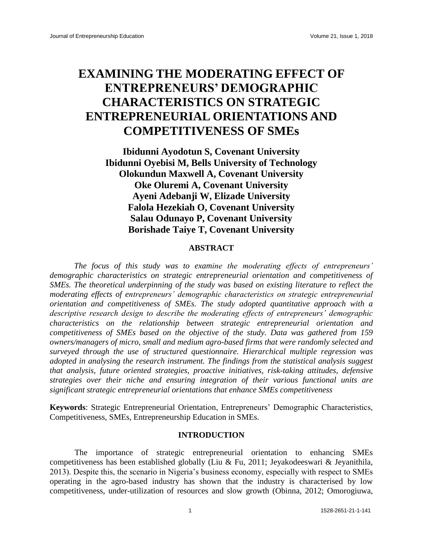# **EXAMINING THE MODERATING EFFECT OF ENTREPRENEURS' DEMOGRAPHIC CHARACTERISTICS ON STRATEGIC ENTREPRENEURIAL ORIENTATIONS AND COMPETITIVENESS OF SMEs**

**Ibidunni Ayodotun S, Covenant University Ibidunni Oyebisi M, Bells University of Technology Olokundun Maxwell A, Covenant University Oke Oluremi A, Covenant University Ayeni Adebanji W, Elizade University Falola Hezekiah O, Covenant University Salau Odunayo P, Covenant University Borishade Taiye T, Covenant University**

# **ABSTRACT**

*The focus of this study was to examine the moderating effects of entrepreneurs' demographic characteristics on strategic entrepreneurial orientation and competitiveness of SMEs. The theoretical underpinning of the study was based on existing literature to reflect the moderating effects of entrepreneurs' demographic characteristics on strategic entrepreneurial orientation and competitiveness of SMEs. The study adopted quantitative approach with a descriptive research design to describe the moderating effects of entrepreneurs' demographic characteristics on the relationship between strategic entrepreneurial orientation and competitiveness of SMEs based on the objective of the study. Data was gathered from 159 owners/managers of micro, small and medium agro-based firms that were randomly selected and surveyed through the use of structured questionnaire. Hierarchical multiple regression was adopted in analysing the research instrument. The findings from the statistical analysis suggest that analysis, future oriented strategies, proactive initiatives, risk-taking attitudes, defensive strategies over their niche and ensuring integration of their various functional units are significant strategic entrepreneurial orientations that enhance SMEs competitiveness*

**Keywords**: Strategic Entrepreneurial Orientation, Entrepreneurs' Demographic Characteristics, Competitiveness, SMEs, Entrepreneurship Education in SMEs.

#### **INTRODUCTION**

The importance of strategic entrepreneurial orientation to enhancing SMEs competitiveness has been established globally (Liu & Fu, 2011; Jeyakodeeswari & Jeyanithila, 2013). Despite this, the scenario in Nigeria's business economy, especially with respect to SMEs operating in the agro-based industry has shown that the industry is characterised by low competitiveness, under-utilization of resources and slow growth (Obinna, 2012; Omorogiuwa,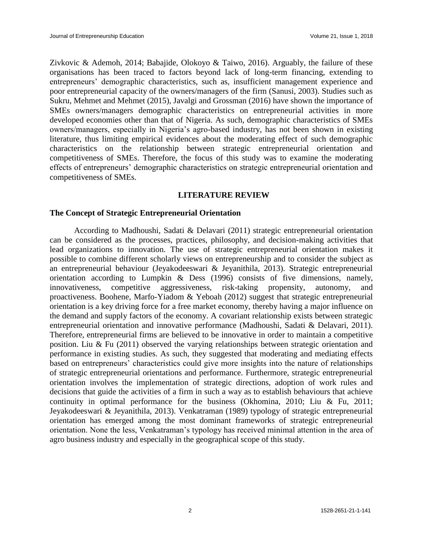Zivkovic & Ademoh, 2014; Babajide, Olokoyo & Taiwo, 2016). Arguably, the failure of these organisations has been traced to factors beyond lack of long-term financing, extending to entrepreneurs' demographic characteristics, such as, insufficient management experience and poor entrepreneurial capacity of the owners/managers of the firm (Sanusi, 2003). Studies such as Sukru, Mehmet and Mehmet (2015), Javalgi and Grossman (2016) have shown the importance of SMEs owners/managers demographic characteristics on entrepreneurial activities in more developed economies other than that of Nigeria. As such, demographic characteristics of SMEs owners/managers, especially in Nigeria's agro-based industry, has not been shown in existing literature, thus limiting empirical evidences about the moderating effect of such demographic characteristics on the relationship between strategic entrepreneurial orientation and competitiveness of SMEs. Therefore, the focus of this study was to examine the moderating effects of entrepreneurs' demographic characteristics on strategic entrepreneurial orientation and competitiveness of SMEs.

# **LITERATURE REVIEW**

## **The Concept of Strategic Entrepreneurial Orientation**

According to Madhoushi, Sadati & Delavari (2011) strategic entrepreneurial orientation can be considered as the processes, practices, philosophy, and decision-making activities that lead organizations to innovation. The use of strategic entrepreneurial orientation makes it possible to combine different scholarly views on entrepreneurship and to consider the subject as an entrepreneurial behaviour (Jeyakodeeswari & Jeyanithila, 2013). Strategic entrepreneurial orientation according to Lumpkin & Dess (1996) consists of five dimensions, namely, innovativeness, competitive aggressiveness, risk-taking propensity, autonomy, and proactiveness. Boohene, Marfo-Yiadom & Yeboah (2012) suggest that strategic entrepreneurial orientation is a key driving force for a free market economy, thereby having a major influence on the demand and supply factors of the economy. A covariant relationship exists between strategic entrepreneurial orientation and innovative performance (Madhoushi, Sadati & Delavari, 2011). Therefore, entrepreneurial firms are believed to be innovative in order to maintain a competitive position. Liu & Fu (2011) observed the varying relationships between strategic orientation and performance in existing studies. As such, they suggested that moderating and mediating effects based on entrepreneurs' characteristics could give more insights into the nature of relationships of strategic entrepreneurial orientations and performance. Furthermore, strategic entrepreneurial orientation involves the implementation of strategic directions, adoption of work rules and decisions that guide the activities of a firm in such a way as to establish behaviours that achieve continuity in optimal performance for the business (Okhomina, 2010; Liu & Fu, 2011; Jeyakodeeswari & Jeyanithila, 2013). Venkatraman (1989) typology of strategic entrepreneurial orientation has emerged among the most dominant frameworks of strategic entrepreneurial orientation. None the less, Venkatraman's typology has received minimal attention in the area of agro business industry and especially in the geographical scope of this study.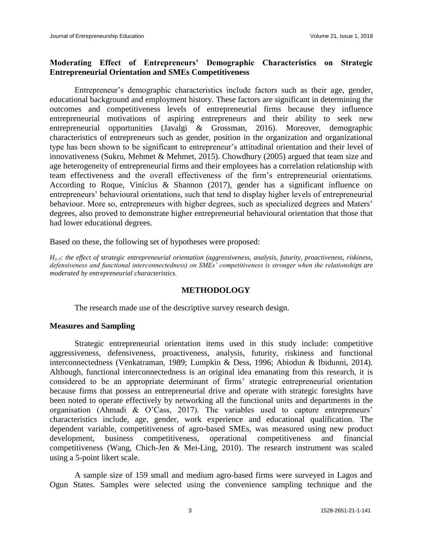# **Moderating Effect of Entrepreneurs' Demographic Characteristics on Strategic Entrepreneurial Orientation and SMEs Competitiveness**

Entrepreneur's demographic characteristics include factors such as their age, gender, educational background and employment history. These factors are significant in determining the outcomes and competitiveness levels of entrepreneurial firms because they influence entrepreneurial motivations of aspiring entrepreneurs and their ability to seek new entrepreneurial opportunities (Javalgi & Grossman, 2016). Moreover, demographic characteristics of entrepreneurs such as gender, position in the organization and organizational type has been shown to be significant to entrepreneur's attitudinal orientation and their level of innovativeness (Sukru, Mehmet & Mehmet, 2015). Chowdhury (2005) argued that team size and age heterogeneity of entrepreneurial firms and their employees has a correlation relationship with team effectiveness and the overall effectiveness of the firm's entrepreneurial orientations. According to Roque, Vinícius & Shannon (2017), gender has a significant influence on entrepreneurs' behavioural orientations, such that tend to display higher levels of entrepreneurial behaviour. More so, entrepreneurs with higher degrees, such as specialized degrees and Maters' degrees, also proved to demonstrate higher entrepreneurial behavioural orientation that those that had lower educational degrees.

Based on these, the following set of hypotheses were proposed:

*H1-7: the effect of strategic entrepreneurial orientation (aggressiveness, analysis, futurity, proactiveness, riskiness, defensiveness and functional interconnectedness) on SMEs' competitiveness is stronger when the relationships are moderated by entrepreneurial characteristics.*

## **METHODOLOGY**

The research made use of the descriptive survey research design.

## **Measures and Sampling**

Strategic entrepreneurial orientation items used in this study include: competitive aggressiveness, defensiveness, proactiveness, analysis, futurity, riskiness and functional interconnectedness (Venkatraman, 1989; Lumpkin & Dess, 1996; Abiodun & Ibidunni, 2014). Although, functional interconnectedness is an original idea emanating from this research, it is considered to be an appropriate determinant of firms' strategic entrepreneurial orientation because firms that possess an entrepreneurial drive and operate with strategic foresights have been noted to operate effectively by networking all the functional units and departments in the organisation (Ahmadi & O'Cass, 2017). The variables used to capture entrepreneurs' characteristics include, age, gender, work experience and educational qualification. The dependent variable, competitiveness of agro-based SMEs, was measured using new product development, business competitiveness, operational competitiveness and financial competitiveness (Wang, Chich-Jen & Mei-Ling, 2010). The research instrument was scaled using a 5-point likert scale.

A sample size of 159 small and medium agro-based firms were surveyed in Lagos and Ogun States. Samples were selected using the convenience sampling technique and the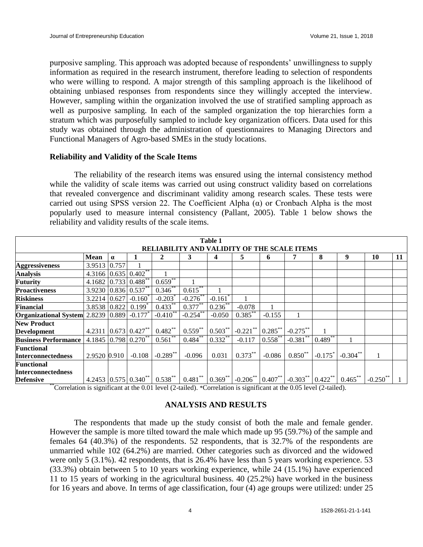purposive sampling. This approach was adopted because of respondents' unwillingness to supply information as required in the research instrument, therefore leading to selection of respondents who were willing to respond. A major strength of this sampling approach is the likelihood of obtaining unbiased responses from respondents since they willingly accepted the interview. However, sampling within the organization involved the use of stratified sampling approach as well as purposive sampling. In each of the sampled organization the top hierarchies form a stratum which was purposefully sampled to include key organization officers. Data used for this study was obtained through the administration of questionnaires to Managing Directors and Functional Managers of Agro-based SMEs in the study locations.

## **Reliability and Validity of the Scale Items**

The reliability of the research items was ensured using the internal consistency method while the validity of scale items was carried out using construct validity based on correlations that revealed convergence and discriminant validity among research scales. These tests were carried out using SPSS version 22. The Coefficient Alpha  $(\alpha)$  or Cronbach Alpha is the most popularly used to measure internal consistency (Pallant, 2005). Table 1 below shows the reliability and validity results of the scale items.

| <b>Table 1</b>                                                |              |          |                                       |                       |             |                       |                                |            |                                |                       |             |             |    |
|---------------------------------------------------------------|--------------|----------|---------------------------------------|-----------------------|-------------|-----------------------|--------------------------------|------------|--------------------------------|-----------------------|-------------|-------------|----|
| <b>VALIDITY OF THE SCALE ITEMS</b><br><b>RELIABILI</b>        |              |          |                                       |                       |             |                       |                                |            |                                |                       |             |             |    |
|                                                               | <b>Mean</b>  | $\alpha$ |                                       | $\mathbf{2}$          | 3           | 4                     | 5                              | 6          |                                | 8                     | 9           | 10          | 11 |
| <b>Aggressiveness</b>                                         | 3.9513 0.757 |          |                                       |                       |             |                       |                                |            |                                |                       |             |             |    |
| <b>Analysis</b>                                               |              |          | $4.3166$ 0.635 0.402 <sup>**</sup>    |                       |             |                       |                                |            |                                |                       |             |             |    |
| <b>Futurity</b>                                               |              |          | 4.1682 0.733 0.488 <sup>**</sup>      | $0.659^{**}$          |             |                       |                                |            |                                |                       |             |             |    |
| <b>Proactiveness</b>                                          |              |          | 3.9230 0.836 0.537**                  | $0.346^{**}$          | $0.615***$  |                       |                                |            |                                |                       |             |             |    |
| <b>Riskiness</b>                                              | 3.2214 0.627 |          | $-0.160^*$                            | $-0.203$ <sup>*</sup> | $-0.276$    | $-0.161$ <sup>*</sup> |                                |            |                                |                       |             |             |    |
| <b>Financial</b>                                              | 3.8538 0.822 |          | $0.199^{^{\circ}}$                    | $0.433***$            | 0.377       | $0.236$ **            | $-0.078$                       |            |                                |                       |             |             |    |
| <b>Organizational System</b> 2.8239 0.889 -0.177 <sup>*</sup> |              |          |                                       | $-0.410$ **           | $-0.254$ ** | $-0.050$              | $0.385***$                     | $-0.155$   |                                |                       |             |             |    |
| <b>New Product</b>                                            |              |          |                                       |                       |             |                       |                                |            |                                |                       |             |             |    |
| <b>Development</b>                                            |              |          | 4.2311 0.673 0.427**                  | $0.482***$            | $0.559***$  | $0.503***$            | $-0.221$ **                    | $0.285***$ | $-0.275***$                    |                       |             |             |    |
| <b>Business Performance</b>                                   |              |          | 4.1845 $\vert 0.798 \vert 0.270^{**}$ | 0.561                 | $0.484***$  | $10.332^{**}$         | $-0.117$                       | 0.558      | $-0.381$ <sup>**</sup>         | $10.489**$            |             |             |    |
| <b>Functional</b>                                             |              |          |                                       |                       |             |                       |                                |            |                                |                       |             |             |    |
| <b>Interconnectedness</b>                                     | 2.9520 0.910 |          | $-0.108$                              | $-0.289$ **           | $-0.096$    | 0.031                 | $0.373***$                     | $-0.086$   | $0.850^{**}$                   | $-0.175$ <sup>*</sup> | $-0.304$ ** |             |    |
| <b>Functional</b>                                             |              |          |                                       |                       |             |                       |                                |            |                                |                       |             |             |    |
| <b>Interconnectedness</b>                                     |              |          |                                       |                       |             |                       |                                |            |                                |                       |             |             |    |
| <b>Defensive</b>                                              |              |          | 4.2453 $0.575$ $0.340**$              | $0.538***$            | $0.481***$  | $0.369**$             | $-0.206**$ 0.407 <sup>**</sup> |            | $-0.303**$ 0.422 <sup>**</sup> |                       | $0.465***$  | $-0.250$ ** |    |

\*\*Correlation is significant at the 0.01 level (2-tailed). \*Correlation is significant at the 0.05 level (2-tailed).

# **ANALYSIS AND RESULTS**

The respondents that made up the study consist of both the male and female gender. However the sample is more tilted toward the male which made up 95 (59.7%) of the sample and females 64 (40.3%) of the respondents. 52 respondents, that is 32.7% of the respondents are unmarried while 102 (64.2%) are married. Other categories such as divorced and the widowed were only 5 (3.1%). 42 respondents, that is 26.4% have less than 5 years working experience. 53 (33.3%) obtain between 5 to 10 years working experience, while 24 (15.1%) have experienced 11 to 15 years of working in the agricultural business. 40 (25.2%) have worked in the business for 16 years and above. In terms of age classification, four (4) age groups were utilized: under 25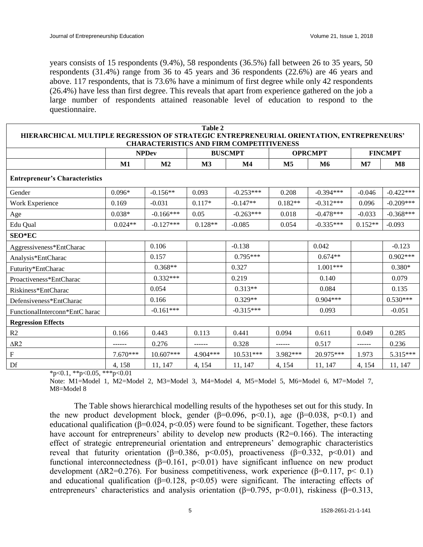years consists of 15 respondents (9.4%), 58 respondents (36.5%) fall between 26 to 35 years, 50 respondents (31.4%) range from 36 to 45 years and 36 respondents (22.6%) are 46 years and above. 117 respondents, that is 73.6% have a minimum of first degree while only 42 respondents (26.4%) have less than first degree. This reveals that apart from experience gathered on the job a large number of respondents attained reasonable level of education to respond to the questionnaire.

| Table 2<br>HIERARCHICAL MULTIPLE REGRESSION OF STRATEGIC ENTREPRENEURIAL ORIENTATION, ENTREPRENEURS' |            |                |                |                |                |                |                |               |  |  |  |  |
|------------------------------------------------------------------------------------------------------|------------|----------------|----------------|----------------|----------------|----------------|----------------|---------------|--|--|--|--|
| <b>CHARACTERISTICS AND FIRM COMPETITIVENESS</b>                                                      |            |                |                |                |                |                |                |               |  |  |  |  |
|                                                                                                      |            | <b>NPDev</b>   |                | <b>BUSCMPT</b> |                | <b>OPRCMPT</b> | <b>FINCMPT</b> |               |  |  |  |  |
|                                                                                                      | M1         | M <sub>2</sub> | M <sub>3</sub> | $\mathbf{M}4$  | M <sub>5</sub> | M6             | M <sub>7</sub> | $\mathbf{M8}$ |  |  |  |  |
| <b>Entrepreneur's Characteristics</b>                                                                |            |                |                |                |                |                |                |               |  |  |  |  |
| Gender                                                                                               | $0.096*$   | $-0.156**$     | 0.093          | $-0.253***$    | 0.208          | $-0.394***$    | $-0.046$       | $-0.422***$   |  |  |  |  |
| Work Experience                                                                                      | 0.169      | $-0.031$       | $0.117*$       | $-0.147**$     | $0.182**$      | $-0.312***$    | 0.096          | $-0.209***$   |  |  |  |  |
| Age                                                                                                  | $0.038*$   | $-0.166***$    | 0.05           | $-0.263***$    | 0.018          | $-0.478***$    | $-0.033$       | $-0.368***$   |  |  |  |  |
| Edu Qual                                                                                             | $0.024**$  | $-0.127***$    | $0.128**$      | $-0.085$       | 0.054          | $-0.335***$    | $0.152**$      | $-0.093$      |  |  |  |  |
| <b>SEO*EC</b>                                                                                        |            |                |                |                |                |                |                |               |  |  |  |  |
| Aggressiveness*EntCharac                                                                             |            | 0.106          |                | $-0.138$       |                | 0.042          |                | $-0.123$      |  |  |  |  |
| Analysis*EntCharac                                                                                   |            | 0.157          |                | $0.795***$     |                | $0.674**$      |                | $0.902***$    |  |  |  |  |
| Futurity*EntCharac                                                                                   |            | $0.368**$      |                | 0.327          |                | $1.001***$     |                | $0.380*$      |  |  |  |  |
| Proactiveness*EntCharac                                                                              |            | $0.332***$     |                | 0.219          |                | 0.140          |                | 0.079         |  |  |  |  |
| Riskiness*EntCharac                                                                                  |            | 0.054          |                | $0.313**$      |                | 0.084          |                | 0.135         |  |  |  |  |
| Defensiveness*EntCharac                                                                              |            | 0.166          |                | $0.329**$      |                | $0.904***$     |                | $0.530***$    |  |  |  |  |
| FunctionalInterconn*EntC harac                                                                       |            | $-0.161***$    |                | $-0.315***$    |                | 0.093          |                | $-0.051$      |  |  |  |  |
| <b>Regression Effects</b>                                                                            |            |                |                |                |                |                |                |               |  |  |  |  |
| R2                                                                                                   | 0.166      | 0.443          | 0.113          | 0.441          | 0.094          | 0.611          | 0.049          | 0.285         |  |  |  |  |
| $\triangle R2$                                                                                       |            | 0.276          |                | 0.328          |                | 0.517          | ------         | 0.236         |  |  |  |  |
| $\rm F$                                                                                              | $7.670***$ | 10.607***      | 4.904***       | $10.531***$    | 3.982***       | 20.975***      | 1.973          | 5.315***      |  |  |  |  |
| Df                                                                                                   | 4, 158     | 11, 147        | 4, 154         | 11, 147        | 4, 154         | 11, 147        | 4, 154         | 11, 147       |  |  |  |  |

 $*p<0.1$ ,  $*p<0.05$ ,  $**p<0.01$ 

Note: M1=Model 1, M2=Model 2, M3=Model 3, M4=Model 4, M5=Model 5, M6=Model 6, M7=Model 7, M8=Model 8

The Table shows hierarchical modelling results of the hypotheses set out for this study. In the new product development block, gender ( $\beta$ =0.096, p<0.1), age ( $\beta$ =0.038, p<0.1) and educational qualification ( $\beta$ =0.024, p<0.05) were found to be significant. Together, these factors have account for entrepreneurs' ability to develop new products (R2=0.166). The interacting effect of strategic entrepreneurial orientation and entrepreneurs' demographic characteristics reveal that futurity orientation ( $\beta$ =0.386, p<0.05), proactiveness ( $\beta$ =0.332, p<0.01) and functional interconnectedness (β=0.161,  $p$ <0.01) have significant influence on new product development ( $\Delta R2$ =0.276). For business competitiveness, work experience (β=0.117, p< 0.1) and educational qualification ( $\beta$ =0.128, p<0.05) were significant. The interacting effects of entrepreneurs' characteristics and analysis orientation ( $\beta$ =0.795, p<0.01), riskiness ( $\beta$ =0.313,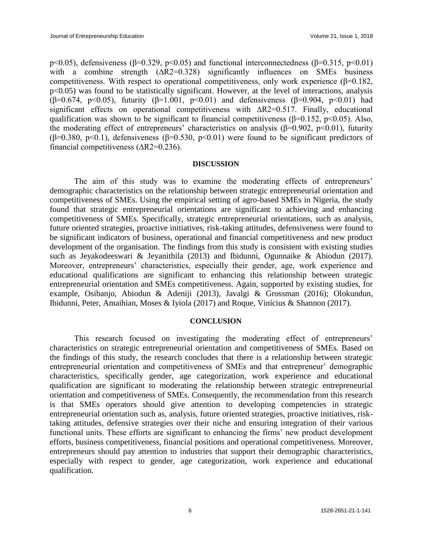p<0.05), defensiveness ( $\beta$ =0.329, p<0.05) and functional interconnectedness ( $\beta$ =0.315, p<0.01) with a combine strength (ΔR2=0.328) significantly influences on SMEs business competitiveness. With respect to operational competitiveness, only work experience  $(\beta=0.182, \alpha)$ p<0.05) was found to be statistically significant. However, at the level of interactions, analysis ( $\beta$ =0.674, p<0.05), futurity ( $\beta$ =1.001, p<0.01) and defensiveness ( $\beta$ =0.904, p<0.01) had significant effects on operational competitiveness with ∆R2=0.517. Finally, educational qualification was shown to be significant to financial competitiveness ( $\beta$ =0.152, p<0.05). Also, the moderating effect of entrepreneurs' characteristics on analysis ( $\beta$ =0.902, p<0.01), futurity ( $\beta$ =0.380, p<0.1), defensiveness ( $\beta$ =0.530, p<0.01) were found to be significant predictors of financial competitiveness (∆R2=0.236).

#### **DISCUSSION**

The aim of this study was to examine the moderating effects of entrepreneurs' demographic characteristics on the relationship between strategic entrepreneurial orientation and competitiveness of SMEs. Using the empirical setting of agro-based SMEs in Nigeria, the study found that strategic entrepreneurial orientations are significant to achieving and enhancing competitiveness of SMEs. Specifically, strategic entrepreneurial orientations, such as analysis, future oriented strategies, proactive initiatives, risk-taking attitudes, defensiveness were found to be significant indicators of business, operational and financial competitiveness and new product development of the organisation. The findings from this study is consistent with existing studies such as Jeyakodeeswari & Jeyanithila (2013) and Ibidunni, Ogunnaike & Abiodun (2017). Moreover, entrepreneurs' characteristics, especially their gender, age, work experience and educational qualifications are significant to enhancing this relationship between strategic entrepreneurial orientation and SMEs competitiveness. Again, supported by existing studies, for example, Osibanjo, Abiodun & Adeniji (2013), Javalgi & Grossman (2016); Olokundun, Ibidunni, Peter, Amaihian, Moses & Iyiola (2017) and Roque, Vinícius & Shannon (2017).

#### **CONCLUSION**

This research focused on investigating the moderating effect of entrepreneurs' characteristics on strategic entrepreneurial orientation and competitiveness of SMEs. Based on the findings of this study, the research concludes that there is a relationship between strategic entrepreneurial orientation and competitiveness of SMEs and that entrepreneur' demographic characteristics, specifically gender, age categorization, work experience and educational qualification are significant to moderating the relationship between strategic entrepreneurial orientation and competitiveness of SMEs. Consequently, the recommendation from this research is that SMEs operators should give attention to developing competencies in strategic entrepreneurial orientation such as, analysis, future oriented strategies, proactive initiatives, risktaking attitudes, defensive strategies over their niche and ensuring integration of their various functional units. These efforts are significant to enhancing the firms' new product development efforts, business competitiveness, financial positions and operational competitiveness. Moreover, entrepreneurs should pay attention to industries that support their demographic characteristics, especially with respect to gender, age categorization, work experience and educational qualification.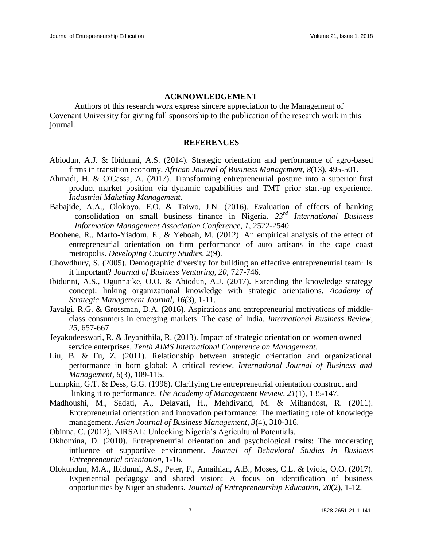#### **ACKNOWLEDGEMENT**

Authors of this research work express sincere appreciation to the Management of Covenant University for giving full sponsorship to the publication of the research work in this journal.

#### **REFERENCES**

- Abiodun, A.J. & Ibidunni, A.S. (2014). Strategic orientation and performance of agro-based firms in transition economy. *African Journal of Business Management, 8*(13), 495-501.
- Ahmadi, H. & O'Cassa, A. (2017). Transforming entrepreneurial posture into a superior first product market position via dynamic capabilities and TMT prior start-up experience. *Industrial Maketing Management*.
- Babajide, A.A., [Olokoyo, F](https://www.scopus.com/authid/detail.uri?authorId=35192049700&eid=2-s2.0-84906222599).O. & Taiwo, J.N. (2016[\). E](https://www.scopus.com/authid/detail.uri?authorId=56331315100&eid=2-s2.0-84906222599)valuation of effects of banking consolidation on small business finance in Nigeria. *23rd International Business Information Management Association Conference, 1*, 2522-2540.
- Boohene, R., Marfo-Yiadom, E., & Yeboah, M. (2012). An empirical analysis of the effect of entrepreneurial orientation on firm performance of auto artisans in the cape coast metropolis. *Developing Country Studies, 2*(9).
- Chowdhury, S. (2005). Demographic diversity for building an effective entrepreneurial team: Is it important? *Journal of Business Venturing, 20*, 727-746.
- Ibidunni, A.S., Ogunnaike, O.O. & Abiodun, A.J. (2017). Extending the knowledge strategy concept: linking organizational knowledge with strategic orientations. *Academy of Strategic Management Journal*, *16(*3), 1-11.
- Javalgi, R.G. & Grossman, D.A. (2016). Aspirations and entrepreneurial motivations of middleclass consumers in emerging markets: The case of India. *International Business Review*, *25*, 657-667.
- Jeyakodeeswari, R. & Jeyanithila, R. (2013)*.* Impact of strategic orientation on women owned service enterprises. *Tenth AIMS International Conference on Management*.
- Liu, B. & Fu, Z. (2011). Relationship between strategic orientation and organizational performance in born global: A critical review. *International Journal of Business and Management*, *6*(3), 109-115.
- Lumpkin, G.T. & Dess, G.G. (1996). Clarifying the entrepreneurial orientation construct and linking it to performance. *The Academy of Management Review, 21*(1), 135-147.
- Madhoushi, M., Sadati, A., Delavari, H., Mehdivand, M. & Mihandost, R. (2011). Entrepreneurial orientation and innovation performance: The mediating role of knowledge management. *Asian Journal of Business Management, 3*(4), 310-316.
- Obinna, C. (2012). NIRSAL: Unlocking Nigeria's Agricultural Potentials.
- Okhomina, D. (2010). Entrepreneurial orientation and psychological traits: The moderating influence of supportive environment. *Journal of Behavioral Studies in Business Entrepreneurial orientation,* 1-16.
- Olokundun, M.A., Ibidunni, A.S., Peter, F., Amaihian, A.B., Moses, C.L. & Iyiola, O.O. (2017). Experiential pedagogy and shared vision: A focus on identification of business opportunities by Nigerian students. *Journal of Entrepreneurship Education*, *20*(2), 1-12.